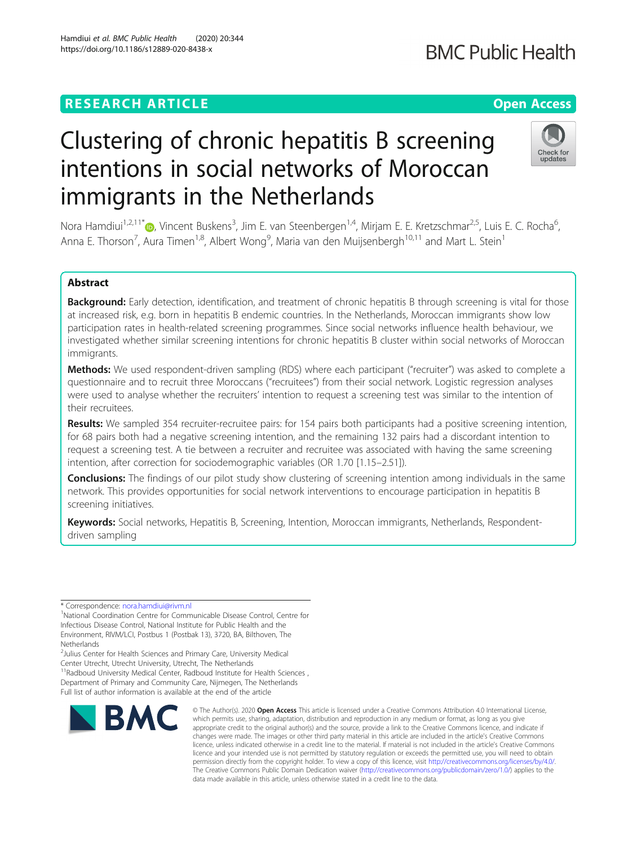# **RESEARCH ARTICLE Example 2014 12:30 The Contract of Contract ACCESS**

# Clustering of chronic hepatitis B screening intentions in social networks of Moroccan immigrants in the Netherlands

Nora Hamdiui<sup>1,2,11</sup>\*®, Vincent Buskens<sup>3</sup>, Jim E. van Steenbergen<sup>1,4</sup>, Mirjam E. E. Kretzschmar<sup>2,5</sup>, Luis E. C. Rocha<sup>6</sup> , Anna E. Thorson<sup>7</sup>, Aura Timen<sup>1,8</sup>, Albert Wong<sup>9</sup>, Maria van den Muijsenbergh<sup>10,11</sup> and Mart L. Stein<sup>1</sup>

# Abstract

Background: Early detection, identification, and treatment of chronic hepatitis B through screening is vital for those at increased risk, e.g. born in hepatitis B endemic countries. In the Netherlands, Moroccan immigrants show low participation rates in health-related screening programmes. Since social networks influence health behaviour, we investigated whether similar screening intentions for chronic hepatitis B cluster within social networks of Moroccan immigrants.

**Methods:** We used respondent-driven sampling (RDS) where each participant ("recruiter") was asked to complete a questionnaire and to recruit three Moroccans ("recruitees") from their social network. Logistic regression analyses were used to analyse whether the recruiters' intention to request a screening test was similar to the intention of their recruitees.

Results: We sampled 354 recruiter-recruitee pairs: for 154 pairs both participants had a positive screening intention, for 68 pairs both had a negative screening intention, and the remaining 132 pairs had a discordant intention to request a screening test. A tie between a recruiter and recruitee was associated with having the same screening intention, after correction for sociodemographic variables (OR 1.70 [1.15–2.51]).

Conclusions: The findings of our pilot study show clustering of screening intention among individuals in the same network. This provides opportunities for social network interventions to encourage participation in hepatitis B screening initiatives.

Keywords: Social networks, Hepatitis B, Screening, Intention, Moroccan immigrants, Netherlands, Respondentdriven sampling

**BMC** 

<sup>2</sup>Julius Center for Health Sciences and Primary Care, University Medical Center Utrecht, Utrecht University, Utrecht, The Netherlands

<sup>11</sup>Radboud University Medical Center, Radboud Institute for Health Sciences, Department of Primary and Community Care, Nijmegen, The Netherlands Full list of author information is available at the end of the article

# Hamdiui et al. BMC Public Health (2020) 20:344 https://doi.org/10.1186/s12889-020-8438-x

© The Author(s), 2020 **Open Access** This article is licensed under a Creative Commons Attribution 4.0 International License, which permits use, sharing, adaptation, distribution and reproduction in any medium or format, as long as you give appropriate credit to the original author(s) and the source, provide a link to the Creative Commons licence, and indicate if changes were made. The images or other third party material in this article are included in the article's Creative Commons licence, unless indicated otherwise in a credit line to the material. If material is not included in the article's Creative Commons licence and your intended use is not permitted by statutory regulation or exceeds the permitted use, you will need to obtain permission directly from the copyright holder. To view a copy of this licence, visit [http://creativecommons.org/licenses/by/4.0/.](http://creativecommons.org/licenses/by/4.0/) The Creative Commons Public Domain Dedication waiver [\(http://creativecommons.org/publicdomain/zero/1.0/](http://creativecommons.org/publicdomain/zero/1.0/)) applies to the data made available in this article, unless otherwise stated in a credit line to the data.





<sup>\*</sup> Correspondence: [nora.hamdiui@rivm.nl](mailto:nora.hamdiui@rivm.nl) <sup>1</sup>

<sup>&</sup>lt;sup>1</sup>National Coordination Centre for Communicable Disease Control, Centre for Infectious Disease Control, National Institute for Public Health and the Environment, RIVM/LCI, Postbus 1 (Postbak 13), 3720, BA, Bilthoven, The Netherlands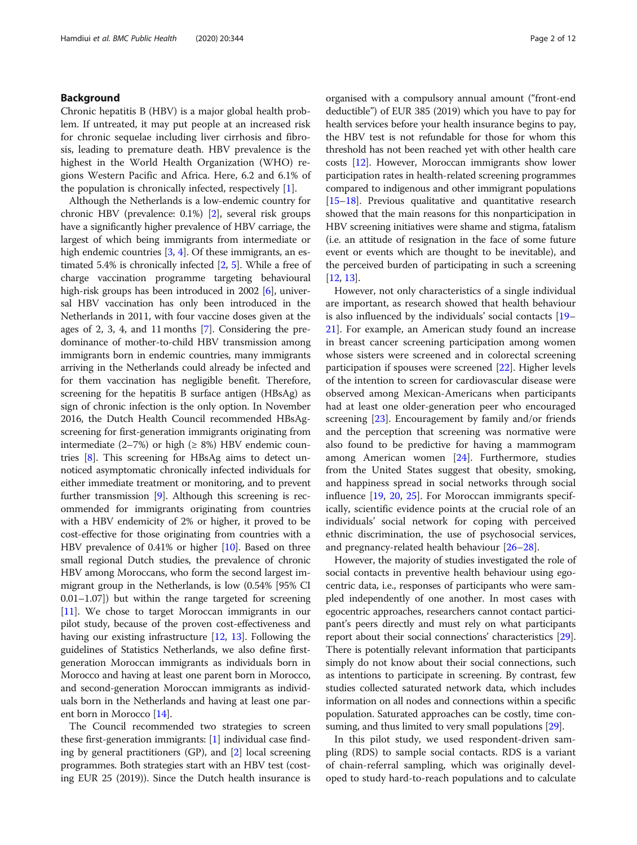# Background

Chronic hepatitis B (HBV) is a major global health problem. If untreated, it may put people at an increased risk for chronic sequelae including liver cirrhosis and fibrosis, leading to premature death. HBV prevalence is the highest in the World Health Organization (WHO) regions Western Pacific and Africa. Here, 6.2 and 6.1% of the population is chronically infected, respectively [[1\]](#page-10-0).

Although the Netherlands is a low-endemic country for chronic HBV (prevalence: 0.1%) [[2](#page-10-0)], several risk groups have a significantly higher prevalence of HBV carriage, the largest of which being immigrants from intermediate or high endemic countries  $[3, 4]$  $[3, 4]$  $[3, 4]$  $[3, 4]$  $[3, 4]$ . Of these immigrants, an estimated 5.4% is chronically infected [\[2](#page-10-0), [5](#page-10-0)]. While a free of charge vaccination programme targeting behavioural high-risk groups has been introduced in 2002 [\[6](#page-10-0)], universal HBV vaccination has only been introduced in the Netherlands in 2011, with four vaccine doses given at the ages of 2, 3, 4, and 11 months [[7](#page-10-0)]. Considering the predominance of mother-to-child HBV transmission among immigrants born in endemic countries, many immigrants arriving in the Netherlands could already be infected and for them vaccination has negligible benefit. Therefore, screening for the hepatitis B surface antigen (HBsAg) as sign of chronic infection is the only option. In November 2016, the Dutch Health Council recommended HBsAgscreening for first-generation immigrants originating from intermediate (2–7%) or high ( $\geq$  8%) HBV endemic countries [[8\]](#page-10-0). This screening for HBsAg aims to detect unnoticed asymptomatic chronically infected individuals for either immediate treatment or monitoring, and to prevent further transmission [\[9\]](#page-10-0). Although this screening is recommended for immigrants originating from countries with a HBV endemicity of 2% or higher, it proved to be cost-effective for those originating from countries with a HBV prevalence of 0.41% or higher [\[10\]](#page-10-0). Based on three small regional Dutch studies, the prevalence of chronic HBV among Moroccans, who form the second largest immigrant group in the Netherlands, is low (0.54% [95% CI 0.01–1.07]) but within the range targeted for screening [[11](#page-10-0)]. We chose to target Moroccan immigrants in our pilot study, because of the proven cost-effectiveness and having our existing infrastructure [[12](#page-10-0), [13\]](#page-10-0). Following the guidelines of Statistics Netherlands, we also define firstgeneration Moroccan immigrants as individuals born in Morocco and having at least one parent born in Morocco, and second-generation Moroccan immigrants as individuals born in the Netherlands and having at least one parent born in Morocco [\[14\]](#page-10-0).

The Council recommended two strategies to screen these first-generation immigrants: [\[1](#page-10-0)] individual case finding by general practitioners (GP), and [[2](#page-10-0)] local screening programmes. Both strategies start with an HBV test (costing EUR 25 (2019)). Since the Dutch health insurance is organised with a compulsory annual amount ("front-end deductible") of EUR 385 (2019) which you have to pay for health services before your health insurance begins to pay, the HBV test is not refundable for those for whom this threshold has not been reached yet with other health care costs [\[12](#page-10-0)]. However, Moroccan immigrants show lower participation rates in health-related screening programmes compared to indigenous and other immigrant populations [[15](#page-10-0)–[18\]](#page-10-0). Previous qualitative and quantitative research showed that the main reasons for this nonparticipation in HBV screening initiatives were shame and stigma, fatalism (i.e. an attitude of resignation in the face of some future event or events which are thought to be inevitable), and the perceived burden of participating in such a screening [[12](#page-10-0), [13\]](#page-10-0).

However, not only characteristics of a single individual are important, as research showed that health behaviour is also influenced by the individuals' social contacts [[19](#page-10-0)– [21\]](#page-10-0). For example, an American study found an increase in breast cancer screening participation among women whose sisters were screened and in colorectal screening participation if spouses were screened [[22\]](#page-10-0). Higher levels of the intention to screen for cardiovascular disease were observed among Mexican-Americans when participants had at least one older-generation peer who encouraged screening [\[23](#page-10-0)]. Encouragement by family and/or friends and the perception that screening was normative were also found to be predictive for having a mammogram among American women [[24\]](#page-10-0). Furthermore, studies from the United States suggest that obesity, smoking, and happiness spread in social networks through social influence [[19,](#page-10-0) [20](#page-10-0), [25\]](#page-10-0). For Moroccan immigrants specifically, scientific evidence points at the crucial role of an individuals' social network for coping with perceived ethnic discrimination, the use of psychosocial services, and pregnancy-related health behaviour [[26](#page-10-0)–[28](#page-10-0)].

However, the majority of studies investigated the role of social contacts in preventive health behaviour using egocentric data, i.e., responses of participants who were sampled independently of one another. In most cases with egocentric approaches, researchers cannot contact participant's peers directly and must rely on what participants report about their social connections' characteristics [[29](#page-10-0)]. There is potentially relevant information that participants simply do not know about their social connections, such as intentions to participate in screening. By contrast, few studies collected saturated network data, which includes information on all nodes and connections within a specific population. Saturated approaches can be costly, time consuming, and thus limited to very small populations [\[29\]](#page-10-0).

In this pilot study, we used respondent-driven sampling (RDS) to sample social contacts. RDS is a variant of chain-referral sampling, which was originally developed to study hard-to-reach populations and to calculate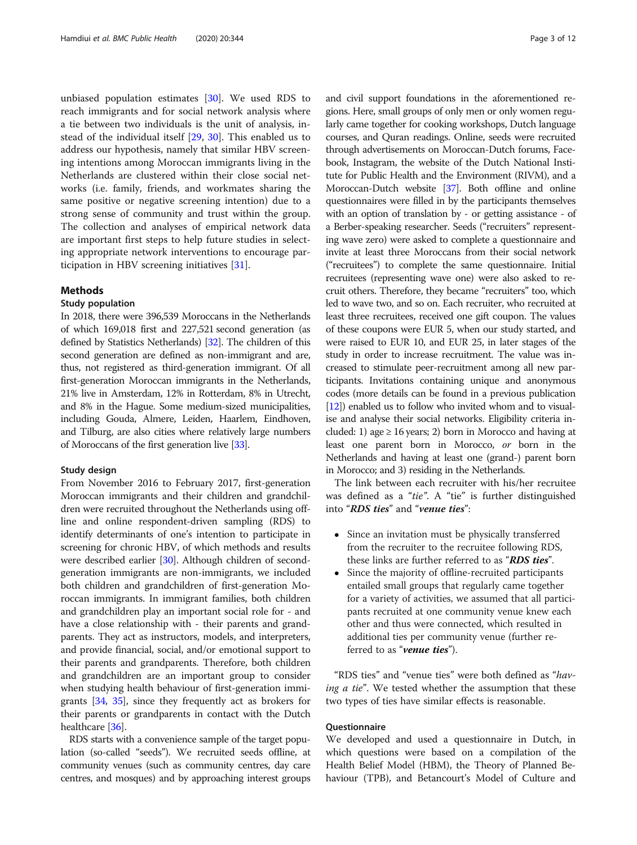unbiased population estimates [\[30](#page-10-0)]. We used RDS to reach immigrants and for social network analysis where a tie between two individuals is the unit of analysis, instead of the individual itself [[29,](#page-10-0) [30](#page-10-0)]. This enabled us to address our hypothesis, namely that similar HBV screening intentions among Moroccan immigrants living in the Netherlands are clustered within their close social networks (i.e. family, friends, and workmates sharing the same positive or negative screening intention) due to a strong sense of community and trust within the group. The collection and analyses of empirical network data are important first steps to help future studies in selecting appropriate network interventions to encourage participation in HBV screening initiatives [\[31\]](#page-10-0).

# Methods

# Study population

In 2018, there were 396,539 Moroccans in the Netherlands of which 169,018 first and 227,521 second generation (as defined by Statistics Netherlands) [\[32\]](#page-10-0). The children of this second generation are defined as non-immigrant and are, thus, not registered as third-generation immigrant. Of all first-generation Moroccan immigrants in the Netherlands, 21% live in Amsterdam, 12% in Rotterdam, 8% in Utrecht, and 8% in the Hague. Some medium-sized municipalities, including Gouda, Almere, Leiden, Haarlem, Eindhoven, and Tilburg, are also cities where relatively large numbers of Moroccans of the first generation live [\[33\]](#page-10-0).

# Study design

From November 2016 to February 2017, first-generation Moroccan immigrants and their children and grandchildren were recruited throughout the Netherlands using offline and online respondent-driven sampling (RDS) to identify determinants of one's intention to participate in screening for chronic HBV, of which methods and results were described earlier [\[30\]](#page-10-0). Although children of secondgeneration immigrants are non-immigrants, we included both children and grandchildren of first-generation Moroccan immigrants. In immigrant families, both children and grandchildren play an important social role for - and have a close relationship with - their parents and grandparents. They act as instructors, models, and interpreters, and provide financial, social, and/or emotional support to their parents and grandparents. Therefore, both children and grandchildren are an important group to consider when studying health behaviour of first-generation immigrants [[34,](#page-10-0) [35\]](#page-10-0), since they frequently act as brokers for their parents or grandparents in contact with the Dutch healthcare [[36](#page-10-0)].

RDS starts with a convenience sample of the target population (so-called "seeds"). We recruited seeds offline, at community venues (such as community centres, day care centres, and mosques) and by approaching interest groups and civil support foundations in the aforementioned regions. Here, small groups of only men or only women regularly came together for cooking workshops, Dutch language courses, and Quran readings. Online, seeds were recruited through advertisements on Moroccan-Dutch forums, Facebook, Instagram, the website of the Dutch National Institute for Public Health and the Environment (RIVM), and a Moroccan-Dutch website [\[37\]](#page-10-0). Both offline and online questionnaires were filled in by the participants themselves with an option of translation by - or getting assistance - of a Berber-speaking researcher. Seeds ("recruiters" representing wave zero) were asked to complete a questionnaire and invite at least three Moroccans from their social network ("recruitees") to complete the same questionnaire. Initial recruitees (representing wave one) were also asked to recruit others. Therefore, they became "recruiters" too, which led to wave two, and so on. Each recruiter, who recruited at least three recruitees, received one gift coupon. The values of these coupons were EUR 5, when our study started, and were raised to EUR 10, and EUR 25, in later stages of the study in order to increase recruitment. The value was increased to stimulate peer-recruitment among all new participants. Invitations containing unique and anonymous codes (more details can be found in a previous publication [[12](#page-10-0)]) enabled us to follow who invited whom and to visualise and analyse their social networks. Eligibility criteria included: 1) age  $\geq$  16 years; 2) born in Morocco and having at least one parent born in Morocco, or born in the Netherlands and having at least one (grand-) parent born in Morocco; and 3) residing in the Netherlands.

The link between each recruiter with his/her recruitee was defined as a "tie". A "tie" is further distinguished into "RDS ties" and "venue ties":

- Since an invitation must be physically transferred from the recruiter to the recruitee following RDS, these links are further referred to as "RDS ties".
- Since the majority of offline-recruited participants entailed small groups that regularly came together for a variety of activities, we assumed that all participants recruited at one community venue knew each other and thus were connected, which resulted in additional ties per community venue (further referred to as "*venue ties*").

"RDS ties" and "venue ties" were both defined as "having a tie". We tested whether the assumption that these two types of ties have similar effects is reasonable.

# Questionnaire

We developed and used a questionnaire in Dutch, in which questions were based on a compilation of the Health Belief Model (HBM), the Theory of Planned Behaviour (TPB), and Betancourt's Model of Culture and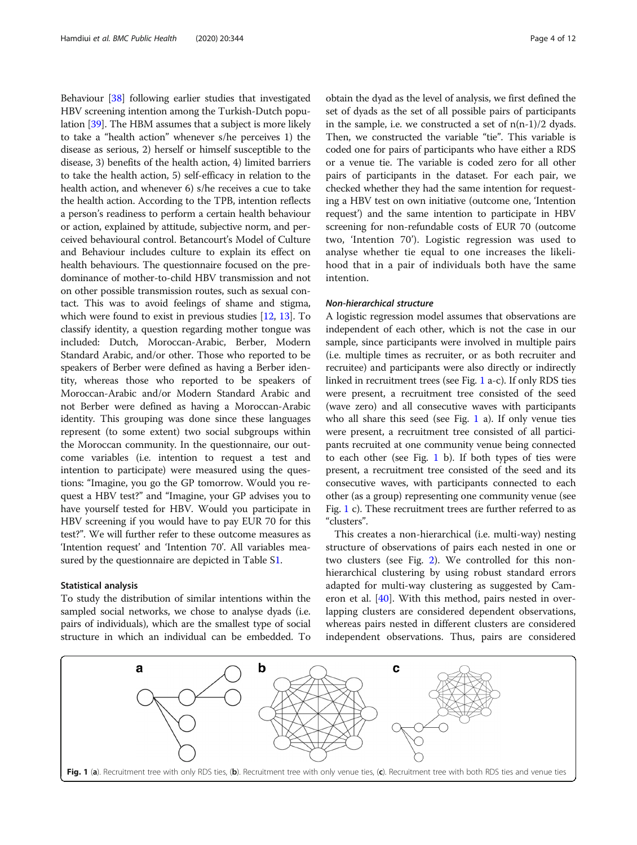Behaviour [\[38\]](#page-10-0) following earlier studies that investigated HBV screening intention among the Turkish-Dutch population [\[39\]](#page-10-0). The HBM assumes that a subject is more likely to take a "health action" whenever s/he perceives 1) the disease as serious, 2) herself or himself susceptible to the disease, 3) benefits of the health action, 4) limited barriers to take the health action, 5) self-efficacy in relation to the health action, and whenever 6) s/he receives a cue to take the health action. According to the TPB, intention reflects a person's readiness to perform a certain health behaviour or action, explained by attitude, subjective norm, and perceived behavioural control. Betancourt's Model of Culture and Behaviour includes culture to explain its effect on health behaviours. The questionnaire focused on the predominance of mother-to-child HBV transmission and not on other possible transmission routes, such as sexual contact. This was to avoid feelings of shame and stigma, which were found to exist in previous studies [\[12](#page-10-0), [13\]](#page-10-0). To classify identity, a question regarding mother tongue was included: Dutch, Moroccan-Arabic, Berber, Modern Standard Arabic, and/or other. Those who reported to be speakers of Berber were defined as having a Berber identity, whereas those who reported to be speakers of Moroccan-Arabic and/or Modern Standard Arabic and not Berber were defined as having a Moroccan-Arabic identity. This grouping was done since these languages represent (to some extent) two social subgroups within the Moroccan community. In the questionnaire, our outcome variables (i.e. intention to request a test and intention to participate) were measured using the questions: "Imagine, you go the GP tomorrow. Would you request a HBV test?" and "Imagine, your GP advises you to have yourself tested for HBV. Would you participate in HBV screening if you would have to pay EUR 70 for this test?". We will further refer to these outcome measures as 'Intention request' and 'Intention 70'. All variables measured by the questionnaire are depicted in Table [S1](#page-9-0).

# Statistical analysis

To study the distribution of similar intentions within the sampled social networks, we chose to analyse dyads (i.e. pairs of individuals), which are the smallest type of social structure in which an individual can be embedded. To obtain the dyad as the level of analysis, we first defined the set of dyads as the set of all possible pairs of participants in the sample, i.e. we constructed a set of  $n(n-1)/2$  dyads. Then, we constructed the variable "tie". This variable is coded one for pairs of participants who have either a RDS or a venue tie. The variable is coded zero for all other pairs of participants in the dataset. For each pair, we checked whether they had the same intention for requesting a HBV test on own initiative (outcome one, 'Intention request') and the same intention to participate in HBV screening for non-refundable costs of EUR 70 (outcome two, 'Intention 70'). Logistic regression was used to analyse whether tie equal to one increases the likelihood that in a pair of individuals both have the same intention.

# Non-hierarchical structure

A logistic regression model assumes that observations are independent of each other, which is not the case in our sample, since participants were involved in multiple pairs (i.e. multiple times as recruiter, or as both recruiter and recruitee) and participants were also directly or indirectly linked in recruitment trees (see Fig. 1 a-c). If only RDS ties were present, a recruitment tree consisted of the seed (wave zero) and all consecutive waves with participants who all share this seed (see Fig.  $1$  a). If only venue ties were present, a recruitment tree consisted of all participants recruited at one community venue being connected to each other (see Fig.  $1$  b). If both types of ties were present, a recruitment tree consisted of the seed and its consecutive waves, with participants connected to each other (as a group) representing one community venue (see Fig. 1 c). These recruitment trees are further referred to as "clusters".

This creates a non-hierarchical (i.e. multi-way) nesting structure of observations of pairs each nested in one or two clusters (see Fig. [2](#page-4-0)). We controlled for this nonhierarchical clustering by using robust standard errors adapted for multi-way clustering as suggested by Cameron et al. [[40\]](#page-10-0). With this method, pairs nested in overlapping clusters are considered dependent observations, whereas pairs nested in different clusters are considered independent observations. Thus, pairs are considered

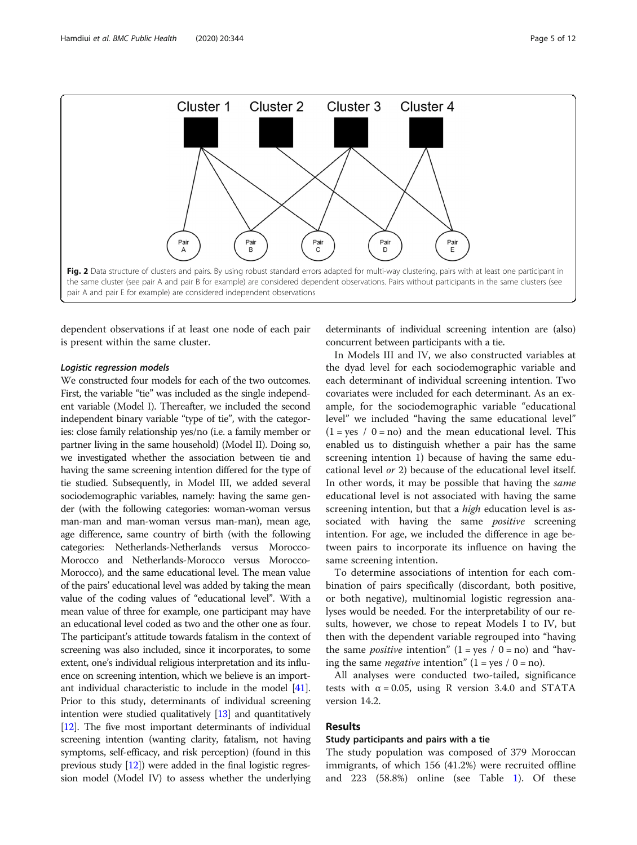<span id="page-4-0"></span>

dependent observations if at least one node of each pair is present within the same cluster.

# Logistic regression models

We constructed four models for each of the two outcomes. First, the variable "tie" was included as the single independent variable (Model I). Thereafter, we included the second independent binary variable "type of tie", with the categories: close family relationship yes/no (i.e. a family member or partner living in the same household) (Model II). Doing so, we investigated whether the association between tie and having the same screening intention differed for the type of tie studied. Subsequently, in Model III, we added several sociodemographic variables, namely: having the same gender (with the following categories: woman-woman versus man-man and man-woman versus man-man), mean age, age difference, same country of birth (with the following categories: Netherlands-Netherlands versus Morocco-Morocco and Netherlands-Morocco versus Morocco-Morocco), and the same educational level. The mean value of the pairs' educational level was added by taking the mean value of the coding values of "educational level". With a mean value of three for example, one participant may have an educational level coded as two and the other one as four. The participant's attitude towards fatalism in the context of screening was also included, since it incorporates, to some extent, one's individual religious interpretation and its influence on screening intention, which we believe is an important individual characteristic to include in the model [\[41](#page-10-0)]. Prior to this study, determinants of individual screening intention were studied qualitatively [[13\]](#page-10-0) and quantitatively [[12](#page-10-0)]. The five most important determinants of individual screening intention (wanting clarity, fatalism, not having symptoms, self-efficacy, and risk perception) (found in this previous study [\[12](#page-10-0)]) were added in the final logistic regression model (Model IV) to assess whether the underlying

determinants of individual screening intention are (also) concurrent between participants with a tie.

In Models III and IV, we also constructed variables at the dyad level for each sociodemographic variable and each determinant of individual screening intention. Two covariates were included for each determinant. As an example, for the sociodemographic variable "educational level" we included "having the same educational level"  $(1 = yes / 0 = no)$  and the mean educational level. This enabled us to distinguish whether a pair has the same screening intention 1) because of having the same educational level or 2) because of the educational level itself. In other words, it may be possible that having the same educational level is not associated with having the same screening intention, but that a *high* education level is associated with having the same *positive* screening intention. For age, we included the difference in age between pairs to incorporate its influence on having the same screening intention.

To determine associations of intention for each combination of pairs specifically (discordant, both positive, or both negative), multinomial logistic regression analyses would be needed. For the interpretability of our results, however, we chose to repeat Models I to IV, but then with the dependent variable regrouped into "having the same *positive* intention"  $(1 = yes / 0 = no)$  and "having the same *negative* intention"  $(1 = yes / 0 = no)$ .

All analyses were conducted two-tailed, significance tests with  $\alpha = 0.05$ , using R version 3.4.0 and STATA version 14.2.

# Results

# Study participants and pairs with a tie

The study population was composed of 379 Moroccan immigrants, of which 156 (41.2%) were recruited offline and 223 (58.8%) online (see Table [1\)](#page-5-0). Of these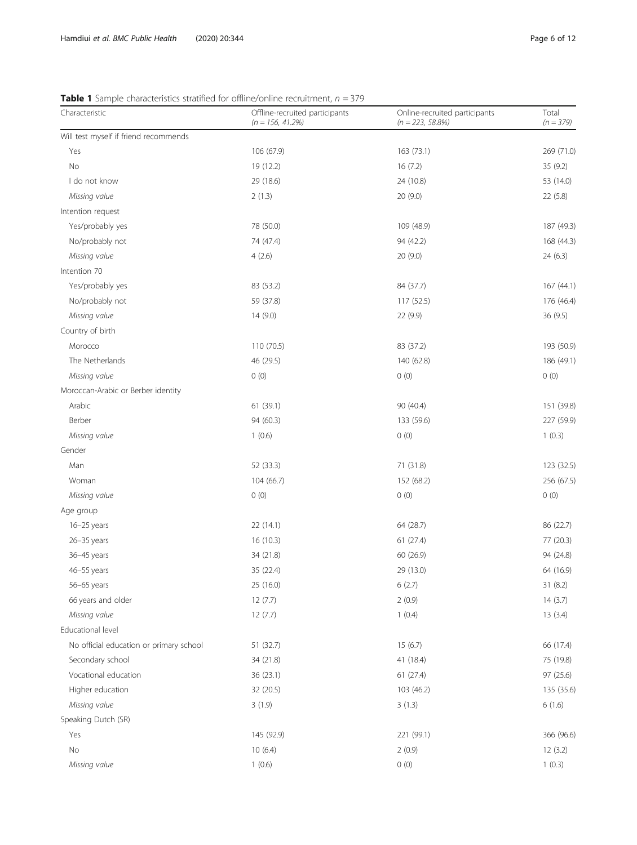# <span id="page-5-0"></span>**Table 1** Sample characteristics stratified for offline/online recruitment,  $n = 379$

| Characteristic                          | Offline-recruited participants<br>$(n = 156, 41.2\%)$ | Online-recruited participants<br>$(n = 223, 58.8%)$ | Total<br>$(n = 379)$ |
|-----------------------------------------|-------------------------------------------------------|-----------------------------------------------------|----------------------|
| Will test myself if friend recommends   |                                                       |                                                     |                      |
| Yes                                     | 106 (67.9)                                            | 163 (73.1)                                          | 269 (71.0)           |
| No                                      | 19 (12.2)                                             | 16(7.2)                                             | 35 (9.2)             |
| I do not know                           | 29 (18.6)                                             | 24 (10.8)                                           | 53 (14.0)            |
| Missing value                           | 2(1.3)                                                | 20(9.0)                                             | 22 (5.8)             |
| Intention request                       |                                                       |                                                     |                      |
| Yes/probably yes                        | 78 (50.0)                                             | 109 (48.9)                                          | 187 (49.3)           |
| No/probably not                         | 74 (47.4)                                             | 94 (42.2)                                           | 168 (44.3)           |
| Missing value                           | 4(2.6)                                                | 20 (9.0)                                            | 24(6.3)              |
| Intention 70                            |                                                       |                                                     |                      |
| Yes/probably yes                        | 83 (53.2)                                             | 84 (37.7)                                           | 167 (44.1)           |
| No/probably not                         | 59 (37.8)                                             | 117 (52.5)                                          | 176 (46.4)           |
| Missing value                           | 14(9.0)                                               | 22 (9.9)                                            | 36 (9.5)             |
| Country of birth                        |                                                       |                                                     |                      |
| Morocco                                 | 110 (70.5)                                            | 83 (37.2)                                           | 193 (50.9)           |
| The Netherlands                         | 46 (29.5)                                             | 140 (62.8)                                          | 186 (49.1)           |
| Missing value                           | 0(0)                                                  | 0(0)                                                | 0(0)                 |
| Moroccan-Arabic or Berber identity      |                                                       |                                                     |                      |
| Arabic                                  | 61 (39.1)                                             | 90 (40.4)                                           | 151 (39.8)           |
| Berber                                  | 94 (60.3)                                             | 133 (59.6)                                          | 227 (59.9)           |
| Missing value                           | 1(0.6)                                                | 0(0)                                                | 1(0.3)               |
| Gender                                  |                                                       |                                                     |                      |
| Man                                     | 52 (33.3)                                             | 71 (31.8)                                           | 123 (32.5)           |
| Woman                                   | 104 (66.7)                                            | 152 (68.2)                                          | 256 (67.5)           |
| Missing value                           | 0(0)                                                  | 0(0)                                                | 0(0)                 |
| Age group                               |                                                       |                                                     |                      |
| 16-25 years                             | 22 (14.1)                                             | 64 (28.7)                                           | 86 (22.7)            |
| 26-35 years                             | 16 (10.3)                                             | 61 (27.4)                                           | 77 (20.3)            |
| 36-45 years                             | 34 (21.8)                                             | 60 (26.9)                                           | 94 (24.8)            |
| 46-55 years                             | 35 (22.4)                                             | 29 (13.0)                                           | 64 (16.9)            |
| 56-65 years                             | 25 (16.0)                                             | 6(2.7)                                              | 31 (8.2)             |
| 66 years and older                      | 12(7.7)                                               | 2(0.9)                                              | 14(3.7)              |
| Missing value                           | 12(7.7)                                               | 1(0.4)                                              | 13(3.4)              |
| Educational level                       |                                                       |                                                     |                      |
| No official education or primary school | 51 (32.7)                                             | 15(6.7)                                             | 66 (17.4)            |
| Secondary school                        | 34 (21.8)                                             | 41 (18.4)                                           | 75 (19.8)            |
| Vocational education                    | 36 (23.1)                                             | 61 (27.4)                                           | 97 (25.6)            |
| Higher education                        | 32 (20.5)                                             | 103 (46.2)                                          | 135 (35.6)           |
| Missing value                           | 3(1.9)                                                | 3(1.3)                                              | 6(1.6)               |
| Speaking Dutch (SR)                     |                                                       |                                                     |                      |
| Yes                                     | 145 (92.9)                                            | 221 (99.1)                                          | 366 (96.6)           |
| No                                      | 10(6.4)                                               | 2(0.9)                                              | 12(3.2)              |
| Missing value                           | 1(0.6)                                                | 0(0)                                                | 1(0.3)               |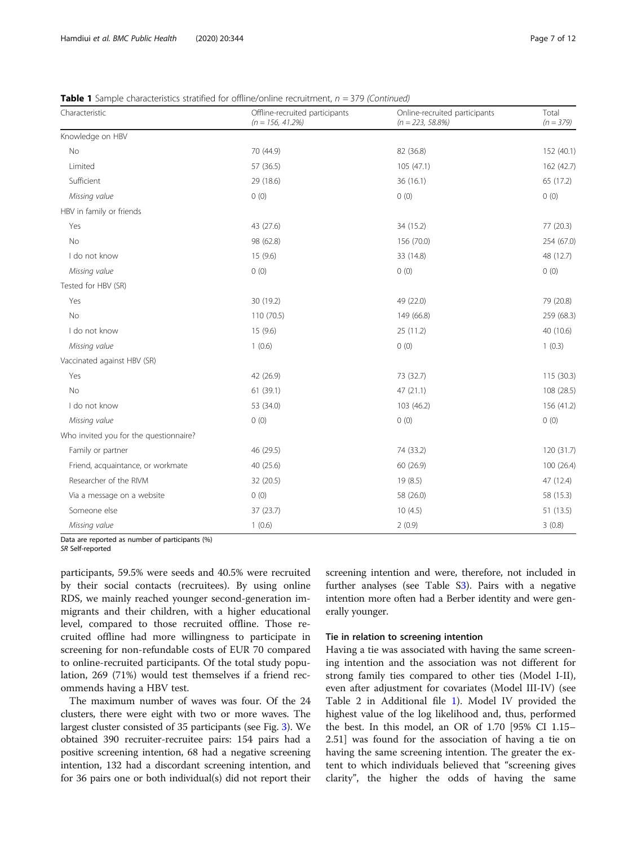| Characteristic                         | Offline-recruited participants<br>$(n = 156, 41.2\%)$ | Online-recruited participants<br>$(n = 223, 58.8\%)$ | Total<br>$(n = 379)$ |
|----------------------------------------|-------------------------------------------------------|------------------------------------------------------|----------------------|
| Knowledge on HBV                       |                                                       |                                                      |                      |
| No                                     | 70 (44.9)                                             | 82 (36.8)                                            | 152 (40.1)           |
| Limited                                | 57 (36.5)                                             | 105(47.1)                                            | 162 (42.7)           |
| Sufficient                             | 29 (18.6)                                             | 36 (16.1)                                            | 65 (17.2)            |
| Missing value                          | 0(0)                                                  | 0(0)                                                 | 0(0)                 |
| HBV in family or friends               |                                                       |                                                      |                      |
| Yes                                    | 43 (27.6)                                             | 34 (15.2)                                            | 77 (20.3)            |
| No                                     | 98 (62.8)                                             | 156 (70.0)                                           | 254 (67.0)           |
| I do not know                          | 15(9.6)                                               | 33 (14.8)                                            | 48 (12.7)            |
| Missing value                          | 0(0)                                                  | 0(0)                                                 | 0(0)                 |
| Tested for HBV (SR)                    |                                                       |                                                      |                      |
| Yes                                    | 30 (19.2)                                             | 49 (22.0)                                            | 79 (20.8)            |
| No                                     | 110 (70.5)                                            | 149 (66.8)                                           | 259 (68.3)           |
| I do not know                          | 15(9.6)                                               | 25 (11.2)                                            | 40 (10.6)            |
| Missing value                          | 1(0.6)                                                | 0(0)                                                 | 1(0.3)               |
| Vaccinated against HBV (SR)            |                                                       |                                                      |                      |
| Yes                                    | 42 (26.9)                                             | 73 (32.7)                                            | 115(30.3)            |
| No                                     | 61(39.1)                                              | 47 (21.1)                                            | 108 (28.5)           |
| I do not know                          | 53 (34.0)                                             | 103 (46.2)                                           | 156 (41.2)           |
| Missing value                          | 0(0)                                                  | 0(0)                                                 | 0(0)                 |
| Who invited you for the questionnaire? |                                                       |                                                      |                      |
| Family or partner                      | 46 (29.5)                                             | 74 (33.2)                                            | 120 (31.7)           |
| Friend, acquaintance, or workmate      | 40 (25.6)                                             | 60 (26.9)                                            | 100(26.4)            |
| Researcher of the RIVM                 | 32 (20.5)                                             | 19(8.5)                                              | 47 (12.4)            |
| Via a message on a website             | 0(0)                                                  | 58 (26.0)                                            | 58 (15.3)            |
| Someone else                           | 37 (23.7)                                             | 10(4.5)                                              | 51(13.5)             |
| Missing value                          | 1(0.6)                                                | 2(0.9)                                               | 3(0.8)               |

**Table 1** Sample characteristics stratified for offline/online recruitment,  $n = 379$  (Continued)

Data are reported as number of participants (%)

SR Self-reported

participants, 59.5% were seeds and 40.5% were recruited by their social contacts (recruitees). By using online RDS, we mainly reached younger second-generation immigrants and their children, with a higher educational level, compared to those recruited offline. Those recruited offline had more willingness to participate in screening for non-refundable costs of EUR 70 compared to online-recruited participants. Of the total study population, 269 (71%) would test themselves if a friend recommends having a HBV test.

The maximum number of waves was four. Of the 24 clusters, there were eight with two or more waves. The largest cluster consisted of 35 participants (see Fig. [3](#page-7-0)). We obtained 390 recruiter-recruitee pairs: 154 pairs had a positive screening intention, 68 had a negative screening intention, 132 had a discordant screening intention, and for 36 pairs one or both individual(s) did not report their

screening intention and were, therefore, not included in further analyses (see Table [S3\)](#page-9-0). Pairs with a negative intention more often had a Berber identity and were generally younger.

# Tie in relation to screening intention

Having a tie was associated with having the same screening intention and the association was not different for strong family ties compared to other ties (Model I-II), even after adjustment for covariates (Model III-IV) (see Table 2 in Additional file [1](#page-9-0)). Model IV provided the highest value of the log likelihood and, thus, performed the best. In this model, an OR of 1.70 [95% CI 1.15– 2.51] was found for the association of having a tie on having the same screening intention. The greater the extent to which individuals believed that "screening gives clarity", the higher the odds of having the same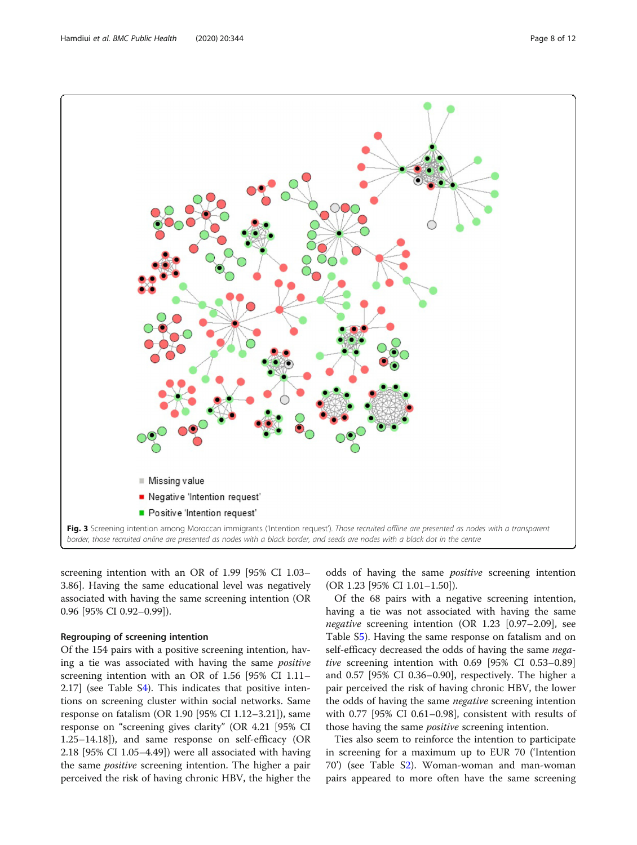<span id="page-7-0"></span>

screening intention with an OR of 1.99 [95% CI 1.03– 3.86]. Having the same educational level was negatively associated with having the same screening intention (OR 0.96 [95% CI 0.92–0.99]).

# Regrouping of screening intention

Of the 154 pairs with a positive screening intention, having a tie was associated with having the same *positive* screening intention with an OR of 1.56 [95% CI 1.11– 2.17] (see Table [S4](#page-9-0)). This indicates that positive intentions on screening cluster within social networks. Same response on fatalism (OR 1.90 [95% CI 1.12–3.21]), same response on "screening gives clarity" (OR 4.21 [95% CI 1.25–14.18]), and same response on self-efficacy (OR 2.18 [95% CI 1.05–4.49]) were all associated with having the same *positive* screening intention. The higher a pair perceived the risk of having chronic HBV, the higher the

odds of having the same positive screening intention (OR 1.23 [95% CI 1.01–1.50]).

Of the 68 pairs with a negative screening intention, having a tie was not associated with having the same negative screening intention (OR 1.23 [0.97–2.09], see Table S[5\)](#page-9-0). Having the same response on fatalism and on self-efficacy decreased the odds of having the same *nega*tive screening intention with 0.69 [95% CI 0.53–0.89] and 0.57 [95% CI 0.36–0.90], respectively. The higher a pair perceived the risk of having chronic HBV, the lower the odds of having the same *negative* screening intention with 0.77 [95% CI 0.61–0.98], consistent with results of those having the same *positive* screening intention.

Ties also seem to reinforce the intention to participate in screening for a maximum up to EUR 70 ('Intention 70') (see Table [S2](#page-9-0)). Woman-woman and man-woman pairs appeared to more often have the same screening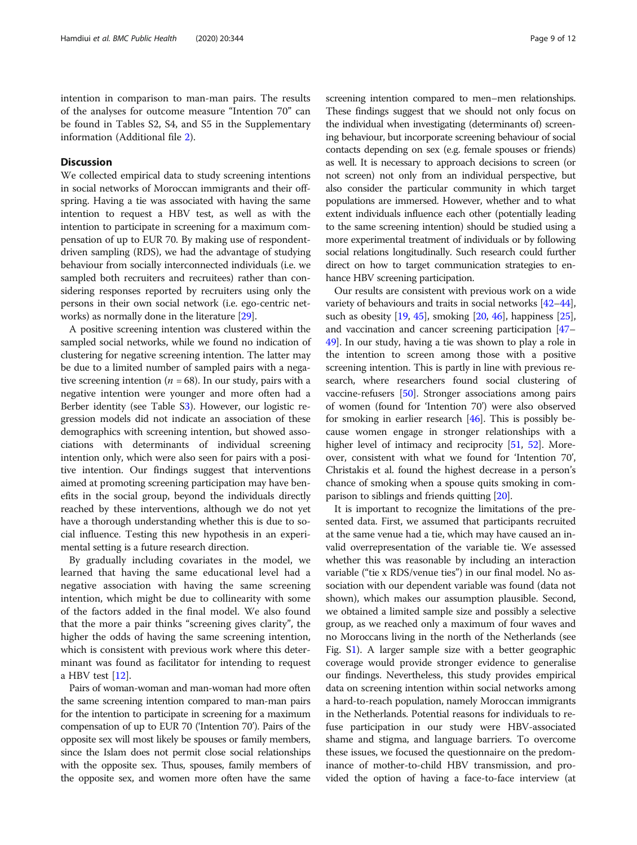intention in comparison to man-man pairs. The results of the analyses for outcome measure "Intention 70" can be found in Tables S2, S4, and S5 in the Supplementary information (Additional file [2\)](#page-9-0).

# **Discussion**

We collected empirical data to study screening intentions in social networks of Moroccan immigrants and their offspring. Having a tie was associated with having the same intention to request a HBV test, as well as with the intention to participate in screening for a maximum compensation of up to EUR 70. By making use of respondentdriven sampling (RDS), we had the advantage of studying behaviour from socially interconnected individuals (i.e. we sampled both recruiters and recruitees) rather than considering responses reported by recruiters using only the persons in their own social network (i.e. ego-centric networks) as normally done in the literature [\[29](#page-10-0)].

A positive screening intention was clustered within the sampled social networks, while we found no indication of clustering for negative screening intention. The latter may be due to a limited number of sampled pairs with a negative screening intention ( $n = 68$ ). In our study, pairs with a negative intention were younger and more often had a Berber identity (see Table S[3\)](#page-9-0). However, our logistic regression models did not indicate an association of these demographics with screening intention, but showed associations with determinants of individual screening intention only, which were also seen for pairs with a positive intention. Our findings suggest that interventions aimed at promoting screening participation may have benefits in the social group, beyond the individuals directly reached by these interventions, although we do not yet have a thorough understanding whether this is due to social influence. Testing this new hypothesis in an experimental setting is a future research direction.

By gradually including covariates in the model, we learned that having the same educational level had a negative association with having the same screening intention, which might be due to collinearity with some of the factors added in the final model. We also found that the more a pair thinks "screening gives clarity", the higher the odds of having the same screening intention, which is consistent with previous work where this determinant was found as facilitator for intending to request a HBV test [[12\]](#page-10-0).

Pairs of woman-woman and man-woman had more often the same screening intention compared to man-man pairs for the intention to participate in screening for a maximum compensation of up to EUR 70 ('Intention 70'). Pairs of the opposite sex will most likely be spouses or family members, since the Islam does not permit close social relationships with the opposite sex. Thus, spouses, family members of the opposite sex, and women more often have the same

screening intention compared to men–men relationships. These findings suggest that we should not only focus on the individual when investigating (determinants of) screening behaviour, but incorporate screening behaviour of social contacts depending on sex (e.g. female spouses or friends) as well. It is necessary to approach decisions to screen (or not screen) not only from an individual perspective, but also consider the particular community in which target populations are immersed. However, whether and to what extent individuals influence each other (potentially leading to the same screening intention) should be studied using a more experimental treatment of individuals or by following social relations longitudinally. Such research could further direct on how to target communication strategies to enhance HBV screening participation.

Our results are consistent with previous work on a wide variety of behaviours and traits in social networks [\[42](#page-10-0)–[44](#page-11-0)], such as obesity [[19](#page-10-0), [45](#page-11-0)], smoking [\[20,](#page-10-0) [46\]](#page-11-0), happiness [[25](#page-10-0)], and vaccination and cancer screening participation [\[47](#page-11-0)– [49](#page-11-0)]. In our study, having a tie was shown to play a role in the intention to screen among those with a positive screening intention. This is partly in line with previous research, where researchers found social clustering of vaccine-refusers [[50](#page-11-0)]. Stronger associations among pairs of women (found for 'Intention 70') were also observed for smoking in earlier research [\[46\]](#page-11-0). This is possibly because women engage in stronger relationships with a higher level of intimacy and reciprocity [[51](#page-11-0), [52](#page-11-0)]. Moreover, consistent with what we found for 'Intention 70', Christakis et al. found the highest decrease in a person's chance of smoking when a spouse quits smoking in comparison to siblings and friends quitting [\[20](#page-10-0)].

It is important to recognize the limitations of the presented data. First, we assumed that participants recruited at the same venue had a tie, which may have caused an invalid overrepresentation of the variable tie. We assessed whether this was reasonable by including an interaction variable ("tie x RDS/venue ties") in our final model. No association with our dependent variable was found (data not shown), which makes our assumption plausible. Second, we obtained a limited sample size and possibly a selective group, as we reached only a maximum of four waves and no Moroccans living in the north of the Netherlands (see Fig. S[1](#page-9-0)). A larger sample size with a better geographic coverage would provide stronger evidence to generalise our findings. Nevertheless, this study provides empirical data on screening intention within social networks among a hard-to-reach population, namely Moroccan immigrants in the Netherlands. Potential reasons for individuals to refuse participation in our study were HBV-associated shame and stigma, and language barriers. To overcome these issues, we focused the questionnaire on the predominance of mother-to-child HBV transmission, and provided the option of having a face-to-face interview (at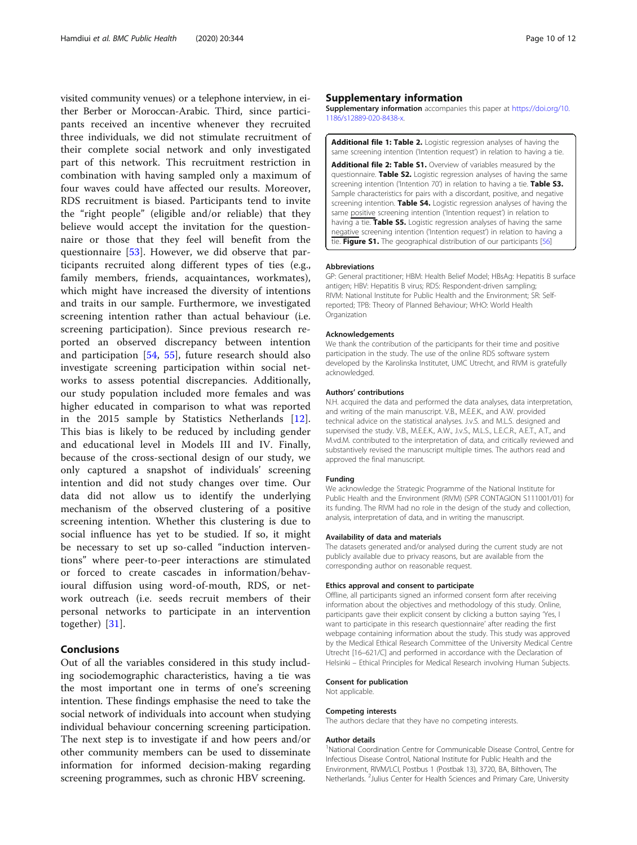<span id="page-9-0"></span>visited community venues) or a telephone interview, in either Berber or Moroccan-Arabic. Third, since participants received an incentive whenever they recruited three individuals, we did not stimulate recruitment of their complete social network and only investigated part of this network. This recruitment restriction in combination with having sampled only a maximum of four waves could have affected our results. Moreover, RDS recruitment is biased. Participants tend to invite the "right people" (eligible and/or reliable) that they believe would accept the invitation for the questionnaire or those that they feel will benefit from the questionnaire [[53\]](#page-11-0). However, we did observe that participants recruited along different types of ties (e.g., family members, friends, acquaintances, workmates), which might have increased the diversity of intentions and traits in our sample. Furthermore, we investigated screening intention rather than actual behaviour (i.e. screening participation). Since previous research reported an observed discrepancy between intention and participation [[54](#page-11-0), [55\]](#page-11-0), future research should also investigate screening participation within social networks to assess potential discrepancies. Additionally, our study population included more females and was higher educated in comparison to what was reported in the 2015 sample by Statistics Netherlands [\[12](#page-10-0)]. This bias is likely to be reduced by including gender and educational level in Models III and IV. Finally, because of the cross-sectional design of our study, we only captured a snapshot of individuals' screening intention and did not study changes over time. Our data did not allow us to identify the underlying mechanism of the observed clustering of a positive screening intention. Whether this clustering is due to social influence has yet to be studied. If so, it might be necessary to set up so-called "induction interventions" where peer-to-peer interactions are stimulated or forced to create cascades in information/behavioural diffusion using word-of-mouth, RDS, or network outreach (i.e. seeds recruit members of their personal networks to participate in an intervention together) [[31\]](#page-10-0).

# Conclusions

Out of all the variables considered in this study including sociodemographic characteristics, having a tie was the most important one in terms of one's screening intention. These findings emphasise the need to take the social network of individuals into account when studying individual behaviour concerning screening participation. The next step is to investigate if and how peers and/or other community members can be used to disseminate information for informed decision-making regarding screening programmes, such as chronic HBV screening.

# Supplementary information

Supplementary information accompanies this paper at [https://doi.org/10.](https://doi.org/10.1186/s12889-020-8438-x) [1186/s12889-020-8438-x](https://doi.org/10.1186/s12889-020-8438-x).

Additional file 1: Table 2. Logistic regression analyses of having the same screening intention ('Intention request') in relation to having a tie. Additional file 2: Table S1. Overview of variables measured by the questionnaire. Table S2. Logistic regression analyses of having the same screening intention ('Intention 70') in relation to having a tie. Table S3. Sample characteristics for pairs with a discordant, positive, and negative screening intention. Table S4. Logistic regression analyses of having the same positive screening intention ('Intention request') in relation to having a tie. Table S5. Logistic regression analyses of having the same negative screening intention ('Intention request') in relation to having a tie. Figure S1. The geographical distribution of our participants [56]

# Abbreviations

GP: General practitioner; HBM: Health Belief Model; HBsAg: Hepatitis B surface antigen; HBV: Hepatitis B virus; RDS: Respondent-driven sampling; RIVM: National Institute for Public Health and the Environment; SR: Selfreported; TPB: Theory of Planned Behaviour; WHO: World Health Organization

#### Acknowledgements

We thank the contribution of the participants for their time and positive participation in the study. The use of the online RDS software system developed by the Karolinska Institutet, UMC Utrecht, and RIVM is gratefully acknowledged.

## Authors' contributions

N.H. acquired the data and performed the data analyses, data interpretation, and writing of the main manuscript. V.B., M.E.E.K., and A.W. provided technical advice on the statistical analyses. J.v.S. and M.L.S. designed and supervised the study. V.B., M.E.E.K., A.W., J.v.S., M.L.S., L.E.C.R., A.E.T., A.T., and M.vd.M. contributed to the interpretation of data, and critically reviewed and substantively revised the manuscript multiple times. The authors read and approved the final manuscript.

### Funding

We acknowledge the Strategic Programme of the National Institute for Public Health and the Environment (RIVM) (SPR CONTAGION S111001/01) for its funding. The RIVM had no role in the design of the study and collection, analysis, interpretation of data, and in writing the manuscript.

#### Availability of data and materials

The datasets generated and/or analysed during the current study are not publicly available due to privacy reasons, but are available from the corresponding author on reasonable request.

#### Ethics approval and consent to participate

Offline, all participants signed an informed consent form after receiving information about the objectives and methodology of this study. Online, participants gave their explicit consent by clicking a button saying 'Yes, I want to participate in this research questionnaire' after reading the first webpage containing information about the study. This study was approved by the Medical Ethical Research Committee of the University Medical Centre Utrecht [16–621/C] and performed in accordance with the Declaration of Helsinki – Ethical Principles for Medical Research involving Human Subjects.

### Consent for publication

Not applicable.

#### Competing interests

The authors declare that they have no competing interests.

#### Author details

<sup>1</sup>National Coordination Centre for Communicable Disease Control, Centre for Infectious Disease Control, National Institute for Public Health and the Environment, RIVM/LCI, Postbus 1 (Postbak 13), 3720, BA, Bilthoven, The Netherlands. <sup>2</sup>Julius Center for Health Sciences and Primary Care, University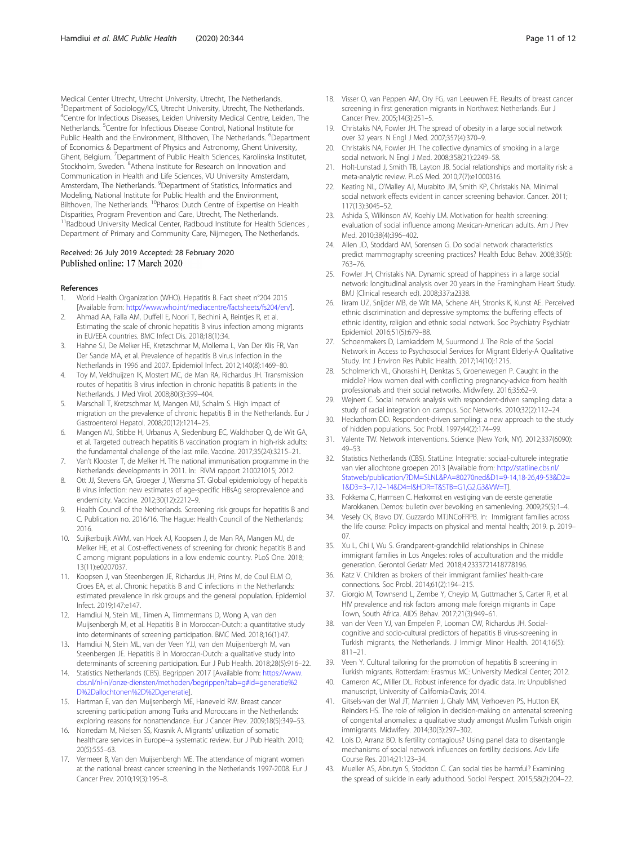<span id="page-10-0"></span>Medical Center Utrecht, Utrecht University, Utrecht, The Netherlands. <sup>3</sup>Department of Sociology/ICS, Utrecht University, Utrecht, The Netherlands. <sup>4</sup>Centre for Infectious Diseases, Leiden University Medical Centre, Leiden, The Netherlands. <sup>5</sup>Centre for Infectious Disease Control, National Institute for Public Health and the Environment, Bilthoven, The Netherlands. <sup>6</sup>Department of Economics & Department of Physics and Astronomy, Ghent University, Ghent, Belgium. <sup>7</sup> Department of Public Health Sciences, Karolinska Institutet, Stockholm, Sweden. <sup>8</sup>Athena Institute for Research on Innovation and Communication in Health and Life Sciences, VU University Amsterdam, Amsterdam, The Netherlands. <sup>9</sup>Department of Statistics, Informatics and Modeling, National Institute for Public Health and the Environment, Bilthoven, The Netherlands. <sup>10</sup>Pharos: Dutch Centre of Expertise on Health Disparities, Program Prevention and Care, Utrecht, The Netherlands. <sup>11</sup>Radboud University Medical Center, Radboud Institute for Health Sciences, Department of Primary and Community Care, Nijmegen, The Netherlands.

# Received: 26 July 2019 Accepted: 28 February 2020 Published online: 17 March 2020

#### References

- 1. World Health Organization (WHO). Hepatitis B. Fact sheet n°204 2015 [Available from: [http://www.who.int/mediacentre/factsheets/fs204/en/\]](http://www.who.int/mediacentre/factsheets/fs204/en/).
- 2. Ahmad AA, Falla AM, Duffell E, Noori T, Bechini A, Reintjes R, et al. Estimating the scale of chronic hepatitis B virus infection among migrants in EU/EEA countries. BMC Infect Dis. 2018;18(1):34.
- 3. Hahne SJ, De Melker HE, Kretzschmar M, Mollema L, Van Der Klis FR, Van Der Sande MA, et al. Prevalence of hepatitis B virus infection in the Netherlands in 1996 and 2007. Epidemiol Infect. 2012;140(8):1469–80.
- 4. Toy M, Veldhuijzen IK, Mostert MC, de Man RA, Richardus JH. Transmission routes of hepatitis B virus infection in chronic hepatitis B patients in the Netherlands. J Med Virol. 2008;80(3):399–404.
- 5. Marschall T, Kretzschmar M, Mangen MJ, Schalm S. High impact of migration on the prevalence of chronic hepatitis B in the Netherlands. Eur J Gastroenterol Hepatol. 2008;20(12):1214–25.
- 6. Mangen MJ, Stibbe H, Urbanus A, Siedenburg EC, Waldhober Q, de Wit GA, et al. Targeted outreach hepatitis B vaccination program in high-risk adults: the fundamental challenge of the last mile. Vaccine. 2017;35(24):3215–21.
- 7. Van't Klooster T, de Melker H. The national immunisation programme in the Netherlands: developments in 2011. In: RIVM rapport 210021015; 2012.
- 8. Ott JJ, Stevens GA, Groeger J, Wiersma ST. Global epidemiology of hepatitis B virus infection: new estimates of age-specific HBsAg seroprevalence and endemicity. Vaccine. 2012;30(12):2212–9.
- 9. Health Council of the Netherlands. Screening risk groups for hepatitis B and C. Publication no. 2016/16. The Hague: Health Council of the Netherlands; 2016.
- 10. Suijkerbuijk AWM, van Hoek AJ, Koopsen J, de Man RA, Mangen MJ, de Melker HE, et al. Cost-effectiveness of screening for chronic hepatitis B and C among migrant populations in a low endemic country. PLoS One. 2018; 13(11):e0207037.
- 11. Koopsen J, van Steenbergen JE, Richardus JH, Prins M, de Coul ELM O, Croes EA, et al. Chronic hepatitis B and C infections in the Netherlands: estimated prevalence in risk groups and the general population. Epidemiol Infect. 2019;147:e147.
- 12. Hamdiui N, Stein ML, Timen A, Timmermans D, Wong A, van den Muijsenbergh M, et al. Hepatitis B in Moroccan-Dutch: a quantitative study into determinants of screening participation. BMC Med. 2018;16(1):47.
- 13. Hamdiui N, Stein ML, van der Veen YJJ, van den Muijsenbergh M, van Steenbergen JE. Hepatitis B in Moroccan-Dutch: a qualitative study into determinants of screening participation. Eur J Pub Health. 2018;28(5):916–22.
- 14. Statistics Netherlands (CBS). Begrippen 2017 [Available from: [https://www.](https://www.cbs.nl/nl-nl/onze-diensten/methoden/begrippen?tab=g#id=generatie%2D%2Dallochtonen%2D%2Dgeneratie) [cbs.nl/nl-nl/onze-diensten/methoden/begrippen?tab=g#id=generatie%2](https://www.cbs.nl/nl-nl/onze-diensten/methoden/begrippen?tab=g#id=generatie%2D%2Dallochtonen%2D%2Dgeneratie) [D%2Dallochtonen%2D%2Dgeneratie](https://www.cbs.nl/nl-nl/onze-diensten/methoden/begrippen?tab=g#id=generatie%2D%2Dallochtonen%2D%2Dgeneratie)].
- 15. Hartman E, van den Muijsenbergh ME, Haneveld RW. Breast cancer screening participation among Turks and Moroccans in the Netherlands: exploring reasons for nonattendance. Eur J Cancer Prev. 2009;18(5):349–53.
- 16. Norredam M, Nielsen SS, Krasnik A. Migrants' utilization of somatic healthcare services in Europe--a systematic review. Eur J Pub Health. 2010; 20(5):555–63.
- 17. Vermeer B, Van den Muijsenbergh ME. The attendance of migrant women at the national breast cancer screening in the Netherlands 1997-2008. Eur J Cancer Prev. 2010;19(3):195–8.
- 18. Visser O, van Peppen AM, Ory FG, van Leeuwen FE. Results of breast cancer screening in first generation migrants in Northwest Netherlands. Eur J Cancer Prev. 2005;14(3):251–5.
- 19. Christakis NA, Fowler JH. The spread of obesity in a large social network over 32 years. N Engl J Med. 2007;357(4):370–9.
- 20. Christakis NA, Fowler JH. The collective dynamics of smoking in a large social network. N Engl J Med. 2008;358(21):2249–58.
- 21. Holt-Lunstad J, Smith TB, Layton JB. Social relationships and mortality risk: a meta-analytic review. PLoS Med. 2010;7(7):e1000316.
- 22. Keating NL, O'Malley AJ, Murabito JM, Smith KP, Christakis NA. Minimal social network effects evident in cancer screening behavior. Cancer. 2011; 117(13):3045–52.
- 23. Ashida S, Wilkinson AV, Koehly LM. Motivation for health screening: evaluation of social influence among Mexican-American adults. Am J Prev Med. 2010;38(4):396–402.
- 24. Allen JD, Stoddard AM, Sorensen G. Do social network characteristics predict mammography screening practices? Health Educ Behav. 2008;35(6): 763–76.
- 25. Fowler JH, Christakis NA. Dynamic spread of happiness in a large social network: longitudinal analysis over 20 years in the Framingham Heart Study. BMJ (Clinical research ed). 2008;337:a2338.
- 26. Ikram UZ, Snijder MB, de Wit MA, Schene AH, Stronks K, Kunst AE. Perceived ethnic discrimination and depressive symptoms: the buffering effects of ethnic identity, religion and ethnic social network. Soc Psychiatry Psychiatr Epidemiol. 2016;51(5):679–88.
- 27. Schoenmakers D, Lamkaddem M, Suurmond J. The Role of the Social Network in Access to Psychosocial Services for Migrant Elderly-A Qualitative Study. Int J Environ Res Public Health. 2017;14(10):1215.
- Scholmerich VL, Ghorashi H, Denktas S, Groenewegen P. Caught in the middle? How women deal with conflicting pregnancy-advice from health professionals and their social networks. Midwifery. 2016;35:62–9.
- 29. Wejnert C. Social network analysis with respondent-driven sampling data: a study of racial integration on campus. Soc Networks. 2010;32(2):112–24.
- 30. Heckathorn DD. Respondent-driven sampling: a new approach to the study of hidden populations. Soc Probl. 1997;44(2):174–99.
- 31. Valente TW. Network interventions. Science (New York, NY). 2012;337(6090): 49–53.
- 32. Statistics Netherlands (CBS). StatLine: Integratie: sociaal-culturele integratie van vier allochtone groepen 2013 [Available from: [http://statline.cbs.nl/](http://statline.cbs.nl/Statweb/publication/?DM=SLNL&PA=80270ned&D1=9-14,18-26,49-53&D2=1&D3=37,1214&D4=l&HDR=T&STB=G1,G2,G3&VW=T) [Statweb/publication/?DM=SLNL&PA=80270ned&D1=9-14,18-26,49-53&D2=](http://statline.cbs.nl/Statweb/publication/?DM=SLNL&PA=80270ned&D1=9-14,18-26,49-53&D2=1&D3=37,1214&D4=l&HDR=T&STB=G1,G2,G3&VW=T) 1&D3=3–7,12–[14&D4=l&HDR=T&STB=G1,G2,G3&VW=T\]](http://statline.cbs.nl/Statweb/publication/?DM=SLNL&PA=80270ned&D1=9-14,18-26,49-53&D2=1&D3=37,1214&D4=l&HDR=T&STB=G1,G2,G3&VW=T).
- 33. Fokkema C, Harmsen C. Herkomst en vestiging van de eerste generatie Marokkanen. Demos: bulletin over bevolking en samenleving. 2009;25(5):1–4.
- 34. Vesely CK, Bravo DY. Guzzardo MTJNCoFRPB. In: Immigrant families across the life course: Policy impacts on physical and mental health; 2019. p. 2019– 07.
- 35. Xu L, Chi I, Wu S. Grandparent-grandchild relationships in Chinese immigrant families in Los Angeles: roles of acculturation and the middle generation. Gerontol Geriatr Med. 2018;4:2333721418778196.
- 36. Katz V. Children as brokers of their immigrant families' health-care connections. Soc Probl. 2014;61(2):194–215.
- 37. Giorgio M, Townsend L, Zembe Y, Cheyip M, Guttmacher S, Carter R, et al. HIV prevalence and risk factors among male foreign migrants in Cape Town, South Africa. AIDS Behav. 2017;21(3):949–61.
- 38. van der Veen YJ, van Empelen P, Looman CW, Richardus JH. Socialcognitive and socio-cultural predictors of hepatitis B virus-screening in Turkish migrants, the Netherlands. J Immigr Minor Health. 2014;16(5): 811–21.
- 39. Veen Y. Cultural tailoring for the promotion of hepatitis B screening in Turkish migrants. Rotterdam: Erasmus MC: University Medical Center; 2012. 40. Cameron AC, Miller DL. Robust inference for dyadic data. In: Unpublished
- manuscript, University of California-Davis; 2014.
- 41. Gitsels-van der Wal JT, Mannien J, Ghaly MM, Verhoeven PS, Hutton EK, Reinders HS. The role of religion in decision-making on antenatal screening of congenital anomalies: a qualitative study amongst Muslim Turkish origin immigrants. Midwifery. 2014;30(3):297–302.
- 42. Lois D, Arranz BO. Is fertility contagious? Using panel data to disentangle mechanisms of social network influences on fertility decisions. Adv Life Course Res. 2014;21:123–34.
- 43. Mueller AS, Abrutyn S, Stockton C. Can social ties be harmful? Examining the spread of suicide in early adulthood. Sociol Perspect. 2015;58(2):204–22.